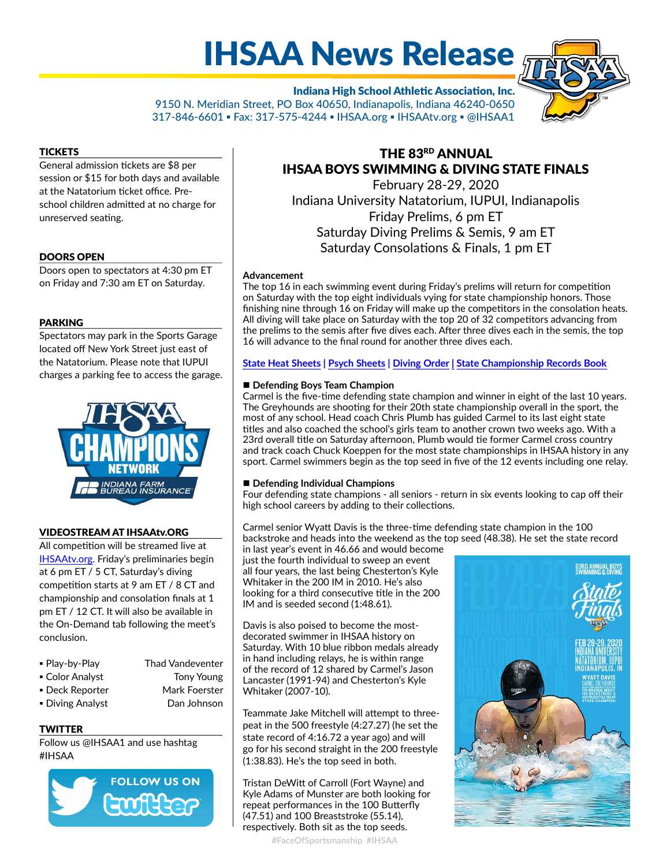# IHSAA News Release

Indiana High School Athletic Association, Inc. 9150 N. Meridian Street, PO Box 40650, Indianapolis, Indiana 46240-0650 317-846-6601 ▪ Fax: 317-575-4244 ▪ IHSAA.org ▪ IHSAAtv.org ▪ @IHSAA1

#### **TICKETS**

General admission tickets are \$8 per session or \$15 for both days and available at the Natatorium ticket office. Preschool children admitted at no charge for unreserved seating.

#### DOORS OPEN

Doors open to spectators at 4:30 pm ET on Friday and 7:30 am ET on Saturday.

#### PARKING

Spectators may park in the Sports Garage located off New York Street just east of the Natatorium. Please note that IUPUI charges a parking fee to access the garage.



#### VIDEOSTREAM AT IHSAAtv.ORG

All competition will be streamed live at [IHSAAtv.org.](https://www.ihsaatv.org/) Friday's preliminaries begin at 6 pm ET / 5 CT, Saturday's diving competition starts at 9 am ET / 8 CT and championship and consolation finals at 1 pm ET / 12 CT. It will also be available in the On-Demand tab following the meet's conclusion.

| • Play-by-Play  | <b>Thad Vandeventer</b> |
|-----------------|-------------------------|
| ■ Color Analyst | Tony Young              |
| • Deck Reporter | Mark Foerster           |

- 
- Diving Analyst Dan Johnson

#### **TWITTER**

Follow us @IHSAA1 and use hashtag #IHSAA



# THE 83RD ANNUAL IHSAA BOYS SWIMMING & DIVING STATE FINALS

February 28-29, 2020 Indiana University Natatorium, IUPUI, Indianapolis Friday Prelims, 6 pm ET Saturday Diving Prelims & Semis, 9 am ET Saturday Consolations & Finals, 1 pm ET

#### Advancement

The top 16 in each swimming event during Friday's prelims will return for competition on Saturday with the top eight individuals vying for state championship honors. Those finishing nine through 16 on Friday will make up the competitors in the consolation heats. All diving will take place on Saturday with the top 20 of 32 competitors advancing from the prelims to the semis after five dives each. After three dives each in the semis, the top 16 will advance to the final round for another three dives each.

[State Heat Sheets](https://ihsaa.org/Portals/0/boys%20sports/boys%20swimming/2019-20/2019-20%20Boys%20State%20Heat%20Sheets.pdf?ver=2020-02-23-155130-023) | [Psych Sheets](https://ihsaa.org/Portals/0/boys%20sports/boys%20swimming/2019-20/2019-20%20Boys%20State%20Psych%20Sheets.pdf?ver=2020-02-23-155130-023) | [Diving Order](https://ihsaa.org/Portals/0/boys%20sports/boys%20swimming/2019-20/201920DivingOrder.pdf?ver=2020-02-26-040001-250)| [State Championship Records Book](https://www.ihsaa.org/Portals/0/boys%20sports/boys%20swimming/Boys%20Swimming%20Records%20Book.pdf)

#### **Defending Boys Team Champion**

Carmel is the five-time defending state champion and winner in eight of the last 10 years. The Greyhounds are shooting for their 20th state championship overall in the sport, the most of any school. Head coach Chris Plumb has guided Carmel to its last eight state titles and also coached the school's girls team to another crown two weeks ago. With a 23rd overall title on Saturday afternoon, Plumb would tie former Carmel cross country and track coach Chuck Koeppen for the most state championships in IHSAA history in any sport. Carmel swimmers begin as the top seed in five of the 12 events including one relay.

#### Defending Individual Champions

Four defending state champions - all seniors - return in six events looking to cap off their high school careers by adding to their collections.

Carmel senior Wyatt Davis is the three-time defending state champion in the 100 backstroke and heads into the weekend as the top seed (48.38). He set the state record

in last year's event in 46.66 and would become just the fourth individual to sweep an event all four years, the last being Chesterton's Kyle Whitaker in the 200 IM in 2010. He's also looking for a third consecutive title in the 200 IM and is seeded second (1:48.61).

Davis is also poised to become the mostdecorated swimmer in IHSAA history on Saturday. With 10 blue ribbon medals already in hand including relays, he is within range of the record of 12 shared by Carmel's Jason Lancaster (1991-94) and Chesterton's Kyle Whitaker (2007-10).

Teammate Jake Mitchell will attempt to threepeat in the 500 freestyle (4:27.27) (he set the state record of 4:16.72 a year ago) and will go for his second straight in the 200 freestyle (1:38.83). He's the top seed in both.

Tristan DeWitt of Carroll (Fort Wayne) and Kyle Adams of Munster are both looking for repeat performances in the 100 Butterfly (47.51) and 100 Breaststroke (55.14), respectively. Both sit as the top seeds.

#FaceOfSportsmanship #IHSAA



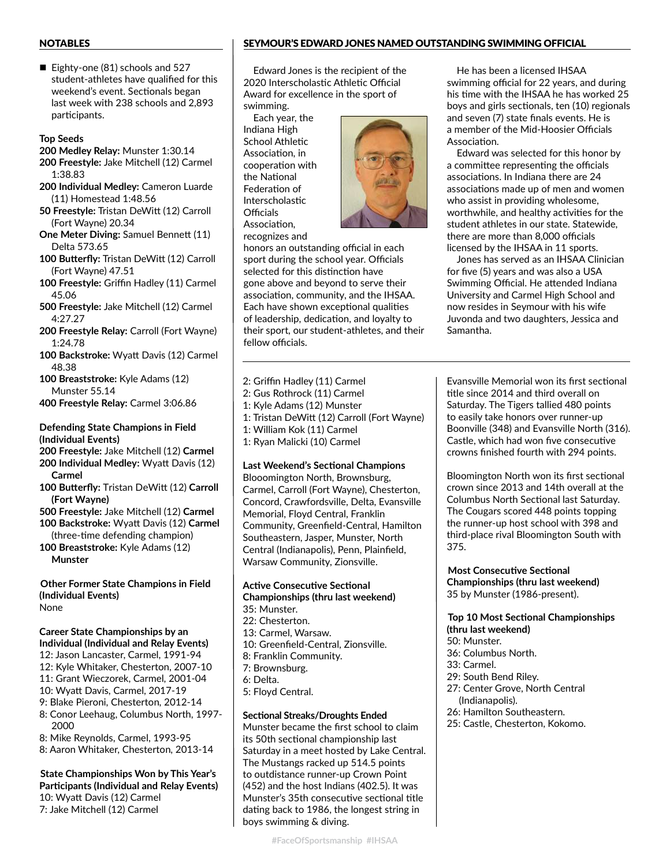#### NOTABLES

Eighty-one (81) schools and 527 student-athletes have qualified for this weekend's event. Sectionals began last week with 238 schools and 2,893 participants.

#### Top Seeds

- 200 Medley Relay: Munster 1:30.14
- 200 Freestyle: Jake Mitchell (12) Carmel 1:38.83
- 200 Individual Medley: Cameron Luarde (11) Homestead 1:48.56
- 50 Freestyle: Tristan DeWitt (12) Carroll (Fort Wayne) 20.34
- One Meter Diving: Samuel Bennett (11) Delta 573.65
- 100 Butterfly: Tristan DeWitt (12) Carroll (Fort Wayne) 47.51
- 100 Freestyle: Griffin Hadley (11) Carmel 45.06
- 500 Freestyle: Jake Mitchell (12) Carmel 4:27.27
- 200 Freestyle Relay: Carroll (Fort Wayne) 1:24.78
- 100 Backstroke: Wyatt Davis (12) Carmel 48.38
- 100 Breaststroke: Kyle Adams (12) Munster 55.14
- 400 Freestyle Relay: Carmel 3:06.86

Defending State Champions in Field (Individual Events)

- 200 Freestyle: Jake Mitchell (12) Carmel
- 200 Individual Medley: Wyatt Davis (12) Carmel
- 100 Butterfly: Tristan DeWitt (12) Carroll (Fort Wayne)
- 500 Freestyle: Jake Mitchell (12) Carmel
- 100 Backstroke: Wyatt Davis (12) Carmel (three-time defending champion)
- 100 Breaststroke: Kyle Adams (12) Munster

Other Former State Champions in Field (Individual Events) None

## Career State Championships by an

- Individual (Individual and Relay Events)
- 12: Jason Lancaster, Carmel, 1991-94 12: Kyle Whitaker, Chesterton, 2007-10
- 11: Grant Wieczorek, Carmel, 2001-04
- 10: Wyatt Davis, Carmel, 2017-19
- 9: Blake Pieroni, Chesterton, 2012-14
- 8: Conor Leehaug, Columbus North, 1997- 2000
- 8: Mike Reynolds, Carmel, 1993-95
- 8: Aaron Whitaker, Chesterton, 2013-14

#### State Championships Won by This Year's Participants (Individual and Relay Events) 10: Wyatt Davis (12) Carmel 7: Jake Mitchell (12) Carmel

#### SEYMOUR'S EDWARD JONES NAMED OUTSTANDING SWIMMING OFFICIAL

Edward Jones is the recipient of the 2020 Interscholastic Athletic Official Award for excellence in the sport of swimming.

Each year, the Indiana High School Athletic Association, in cooperation with the National Federation of **Interscholastic** Officials Association. recognizes and



honors an outstanding official in each sport during the school year. Officials selected for this distinction have gone above and beyond to serve their association, community, and the IHSAA. Each have shown exceptional qualities of leadership, dedication, and loyalty to their sport, our student-athletes, and their fellow officials.

2: Griffin Hadley (11) Carmel 2: Gus Rothrock (11) Carmel 1: Kyle Adams (12) Munster 1: Tristan DeWitt (12) Carroll (Fort Wayne) 1: William Kok (11) Carmel 1: Ryan Malicki (10) Carmel

#### Last Weekend's Sectional Champions

Blooomington North, Brownsburg, Carmel, Carroll (Fort Wayne), Chesterton, Concord, Crawfordsville, Delta, Evansville Memorial, Floyd Central, Franklin Community, Greenfield-Central, Hamilton Southeastern, Jasper, Munster, North Central (Indianapolis), Penn, Plainfield, Warsaw Community, Zionsville.

#### Active Consecutive Sectional Championships (thru last weekend) 35: Munster.

- 22: Chesterton.
- 13: Carmel, Warsaw.
- 10: Greenfield-Central, Zionsville.
- 8: Franklin Community.
- 7: Brownsburg.
- 6: Delta.
- 5: Floyd Central.

### Sectional Streaks/Droughts Ended

Munster became the first school to claim its 50th sectional championship last Saturday in a meet hosted by Lake Central. The Mustangs racked up 514.5 points to outdistance runner-up Crown Point (452) and the host Indians (402.5). It was Munster's 35th consecutive sectional title dating back to 1986, the longest string in boys swimming & diving.

He has been a licensed IHSAA swimming official for 22 years, and during his time with the IHSAA he has worked 25 boys and girls sectionals, ten (10) regionals and seven (7) state finals events. He is a member of the Mid-Hoosier Officials Association

Edward was selected for this honor by a committee representing the officials associations. In Indiana there are 24 associations made up of men and women who assist in providing wholesome, worthwhile, and healthy activities for the student athletes in our state. Statewide, there are more than 8,000 officials licensed by the IHSAA in 11 sports.

Jones has served as an IHSAA Clinician for five (5) years and was also a USA Swimming Official. He attended Indiana University and Carmel High School and now resides in Seymour with his wife Juvonda and two daughters, Jessica and Samantha.

Evansville Memorial won its first sectional title since 2014 and third overall on Saturday. The Tigers tallied 480 points to easily take honors over runner-up Boonville (348) and Evansville North (316). Castle, which had won five consecutive crowns finished fourth with 294 points.

Bloomington North won its first sectional crown since 2013 and 14th overall at the Columbus North Sectional last Saturday. The Cougars scored 448 points topping the runner-up host school with 398 and third-place rival Bloomington South with 375.

Most Consecutive Sectional Championships (thru last weekend) 35 by Munster (1986-present).

Top 10 Most Sectional Championships (thru last weekend)

- 50: Munster.
- 36: Columbus North.
- 33: Carmel.
- 29: South Bend Riley.
- 27: Center Grove, North Central (Indianapolis).
- 26: Hamilton Southeastern.
- 25: Castle, Chesterton, Kokomo.